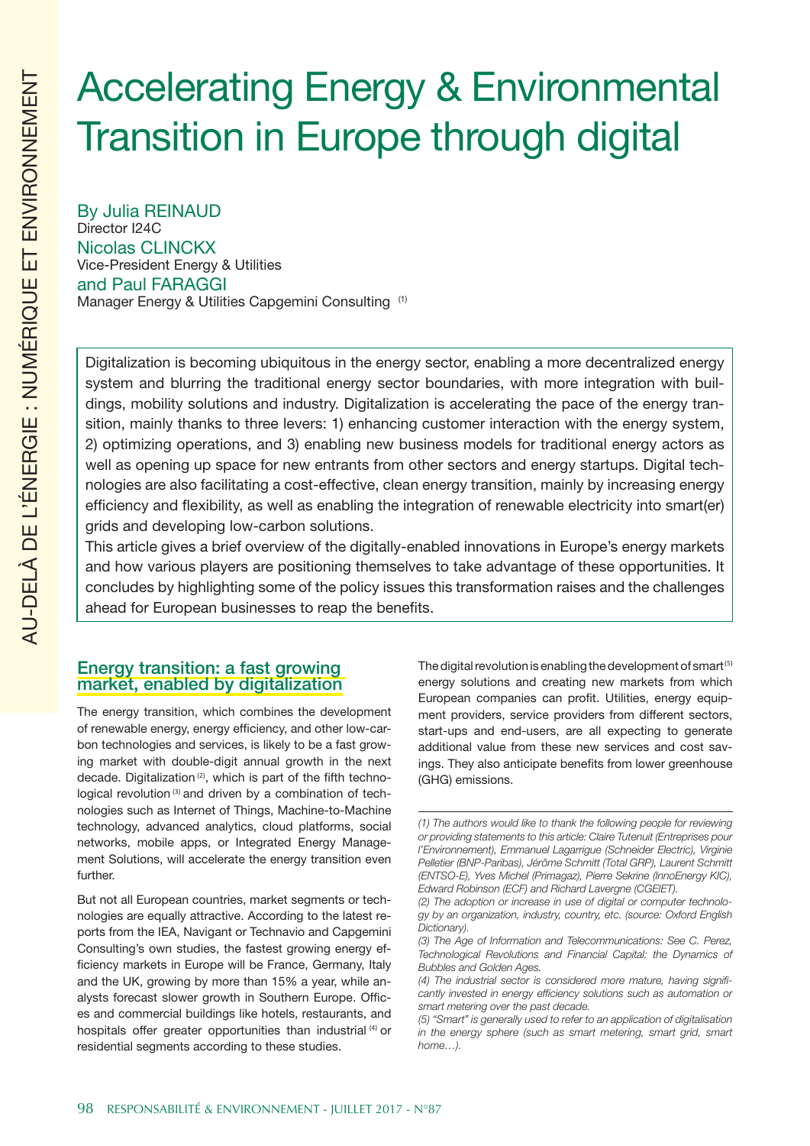# Accelerating Energy & Environmental Transition in Europe through digital

By Julia REINAUD Director I24C Nicolas CLINCKX Vice-President Energy & Utilities and Paul FARAGGI Manager Energy & Utilities Capgemini Consulting (1)

Digitalization is becoming ubiquitous in the energy sector, enabling a more decentralized energy system and blurring the traditional energy sector boundaries, with more integration with buildings, mobility solutions and industry. Digitalization is accelerating the pace of the energy transition, mainly thanks to three levers: 1) enhancing customer interaction with the energy system, 2) optimizing operations, and 3) enabling new business models for traditional energy actors as well as opening up space for new entrants from other sectors and energy startups. Digital technologies are also facilitating a cost-effective, clean energy transition, mainly by increasing energy efficiency and flexibility, as well as enabling the integration of renewable electricity into smart(er) grids and developing low-carbon solutions.

This article gives a brief overview of the digitally-enabled innovations in Europe's energy markets and how various players are positioning themselves to take advantage of these opportunities. It concludes by highlighting some of the policy issues this transformation raises and the challenges ahead for European businesses to reap the benefits.

# Energy transition: a fast growing market, enabled by digitalization

The energy transition, which combines the development of renewable energy, energy efficiency, and other low-carbon technologies and services, is likely to be a fast growing market with double-digit annual growth in the next decade. Digitalization (2), which is part of the fifth technological revolution<sup>(3)</sup> and driven by a combination of technologies such as Internet of Things, Machine-to-Machine technology, advanced analytics, cloud platforms, social networks, mobile apps, or Integrated Energy Management Solutions, will accelerate the energy transition even further.

But not all European countries, market segments or technologies are equally attractive. According to the latest reports from the IEA, Navigant or Technavio and Capgemini Consulting's own studies, the fastest growing energy efficiency markets in Europe will be France, Germany, Italy and the UK, growing by more than 15% a year, while analysts forecast slower growth in Southern Europe. Offices and commercial buildings like hotels, restaurants, and hospitals offer greater opportunities than industrial (4) or residential segments according to these studies.

The digital revolution is enabling the development of smart (5) energy solutions and creating new markets from which European companies can profit. Utilities, energy equipment providers, service providers from different sectors, start-ups and end-users, are all expecting to generate additional value from these new services and cost savings. They also anticipate benefits from lower greenhouse (GHG) emissions.

*<sup>(1)</sup> The authors would like to thank the following people for reviewing or providing statements to this article: Claire Tutenuit (Entreprises pour l'Environnement), Emmanuel Lagarrigue (Schneider Electric), Virginie Pelletier (BNP-Paribas), Jérôme Schmitt (Total GRP), Laurent Schmitt (ENTSO-E), Yves Michel (Primagaz), Pierre Sekrine (InnoEnergy KIC), Edward Robinson (ECF) and Richard Lavergne (CGEIET).*

*<sup>(2)</sup> The adoption or increase in use of digital or computer technology by an organization, industry, country, etc. (source: Oxford English Dictionary).*

*<sup>(3)</sup> The Age of Information and Telecommunications: See C. Perez, Technological Revolutions and Financial Capital: the Dynamics of Bubbles and Golden Ages.*

*<sup>(4)</sup> The industrial sector is considered more mature, having significantly invested in energy efficiency solutions such as automation or smart metering over the past decade.*

*<sup>(5) &</sup>quot;Smart" is generally used to refer to an application of digitalisation in the energy sphere (such as smart metering, smart grid, smart home…).*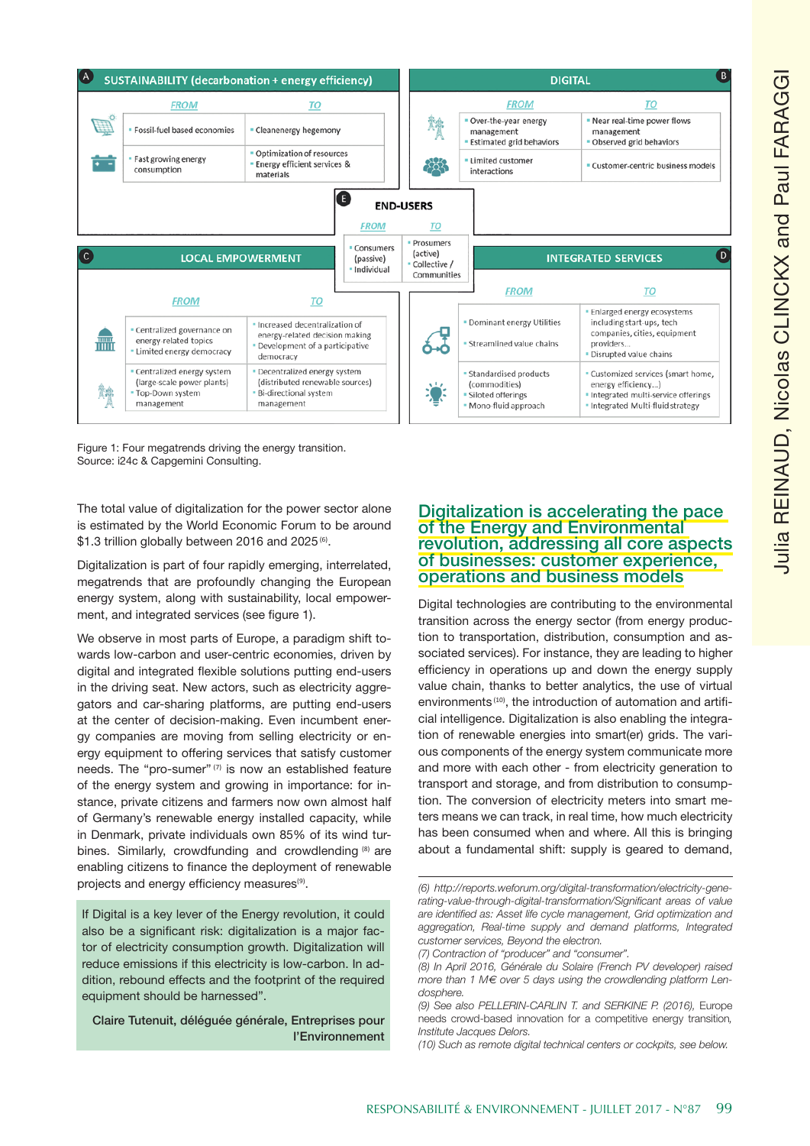

Figure 1: Four megatrends driving the energy transition. Source: i24c & Capgemini Consulting.

The total value of digitalization for the power sector alone is estimated by the World Economic Forum to be around \$1.3 trillion globally between 2016 and 2025<sup>(6)</sup>.

Digitalization is part of four rapidly emerging, interrelated, megatrends that are profoundly changing the European energy system, along with sustainability, local empowerment, and integrated services (see figure 1).

We observe in most parts of Europe, a paradigm shift to wards low-carbon and user-centric economies, driven by digital and integrated flexible solutions putting end-users in the driving seat. New actors, such as electricity aggre gators and car-sharing platforms, are putting end-users at the center of decision-making. Even incumbent energy companies are moving from selling electricity or energy equipment to offering services that satisfy customer needs. The "pro-sumer" (7) is now an established feature of the energy system and growing in importance: for in stance, private citizens and farmers now own almost half of Germany's renewable energy installed capacity, while in Denmark, private individuals own 85% of its wind turbines. Similarly, crowdfunding and crowdlending (8) are enabling citizens to finance the deployment of renewable projects and energy efficiency measures<sup>(9)</sup>.

If Digital is a key lever of the Energy revolution, it could also be a significant risk: digitalization is a major fac tor of electricity consumption growth. Digitalization will reduce emissions if this electricity is low-carbon. In ad dition, rebound effects and the footprint of the required equipment should be harnessed".

Claire Tutenuit, déléguée générale, Entreprises pour l'Environnement

# Digitalization is accelerating the pace of the Energy and Environmental revolution, addressing all core aspects of businesses: customer experience, operations and business models

Digital technologies are contributing to the environmental transition across the energy sector (from energy produc tion to transportation, distribution, consumption and as sociated services). For instance, they are leading to higher efficiency in operations up and down the energy supply value chain, thanks to better analytics, the use of virtual environments<sup>(10)</sup>, the introduction of automation and artificial intelligence. Digitalization is also enabling the integra tion of renewable energies into smart(er) grids. The vari ous components of the energy system communicate more and more with each other - from electricity generation to transport and storage, and from distribution to consump tion. The conversion of electricity meters into smart me ters means we can track, in real time, how much electricity has been consumed when and where. All this is bringing about a fundamental shift: supply is geared to demand,

*(6) http://reports.weforum.org/digital-transformation/electricity-gene rating-value-through-digital-transformation/Significant areas of value are identified as: Asset life cycle management, Grid optimization and aggregation, Real-time supply and demand platforms, Integrated customer services, Beyond the electron.*

*(7) Contraction of "producer" and "consumer".*

*(10) Such as remote digital technical centers or cockpits, see below.*

*<sup>(8)</sup> In April 2016, Générale du Solaire (French PV developer) raised more than 1 M € over 5 days using the crowdlending platform Len dosphere.*

*<sup>(9)</sup> See also PELLERIN-CARLIN T. and SERKINE P. (2016),* Europe needs crowd-based innovation for a competitive energy transition*, Institute Jacques Delors.*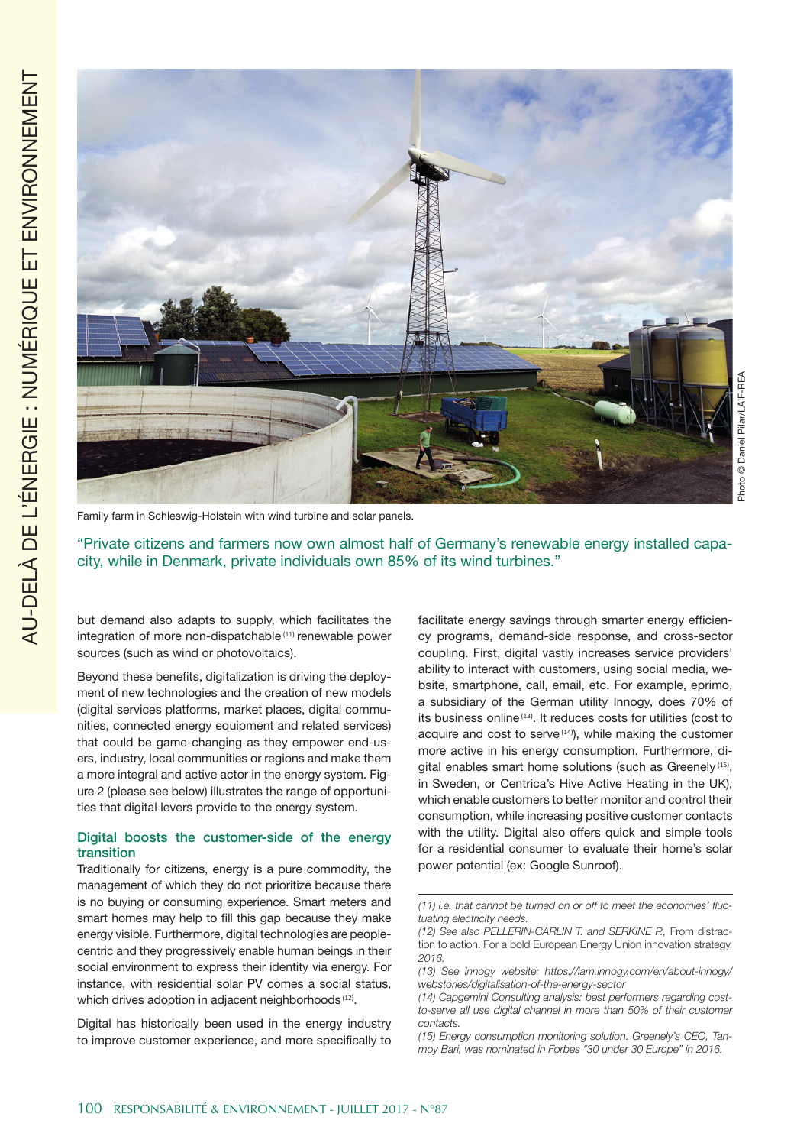

Family farm in Schleswig-Holstein with wind turbine and solar panels.

"Private citizens and farmers now own almost half of Germany's renewable energy installed capacity, while in Denmark, private individuals own 85% of its wind turbines."

but demand also adapts to supply, which facilitates the integration of more non-dispatchable (11) renewable power sources (such as wind or photovoltaics).

Beyond these benefits, digitalization is driving the deployment of new technologies and the creation of new models (digital services platforms, market places, digital communities, connected energy equipment and related services) that could be game-changing as they empower end-users, industry, local communities or regions and make them a more integral and active actor in the energy system. Figure 2 (please see below) illustrates the range of opportunities that digital levers provide to the energy system.

## Digital boosts the customer-side of the energy transition

Traditionally for citizens, energy is a pure commodity, the management of which they do not prioritize because there is no buying or consuming experience. Smart meters and smart homes may help to fill this gap because they make energy visible. Furthermore, digital technologies are peoplecentric and they progressively enable human beings in their social environment to express their identity via energy. For instance, with residential solar PV comes a social status, which drives adoption in adjacent neighborhoods (12).

Digital has historically been used in the energy industry to improve customer experience, and more specifically to

facilitate energy savings through smarter energy efficiency programs, demand-side response, and cross-sector coupling. First, digital vastly increases service providers' ability to interact with customers, using social media, website, smartphone, call, email, etc. For example, eprimo, a subsidiary of the German utility Innogy, does 70% of its business online (13). It reduces costs for utilities (cost to acquire and cost to serve (14), while making the customer more active in his energy consumption. Furthermore, digital enables smart home solutions (such as Greenely<sup>(15)</sup>, in Sweden, or Centrica's Hive Active Heating in the UK), which enable customers to better monitor and control their consumption, while increasing positive customer contacts with the utility. Digital also offers quick and simple tools for a residential consumer to evaluate their home's solar power potential (ex: Google Sunroof).

*<sup>(11)</sup> i.e. that cannot be turned on or off to meet the economies' fluctuating electricity needs.*

*<sup>(12)</sup> See also PELLERIN-CARLIN T. and SERKINE P.,* From distraction to action. For a bold European Energy Union innovation strategy, *2016.*

*<sup>(13)</sup> See innogy website: https://iam.innogy.com/en/about-innogy/ webstories/digitalisation-of-the-energy-sector*

*<sup>(14)</sup> Capgemini Consulting analysis: best performers regarding costto-serve all use digital channel in more than 50% of their customer contacts.*

*<sup>(15)</sup> Energy consumption monitoring solution. Greenely's CEO, Tanmoy Bari, was nominated in Forbes "30 under 30 Europe" in 2016.*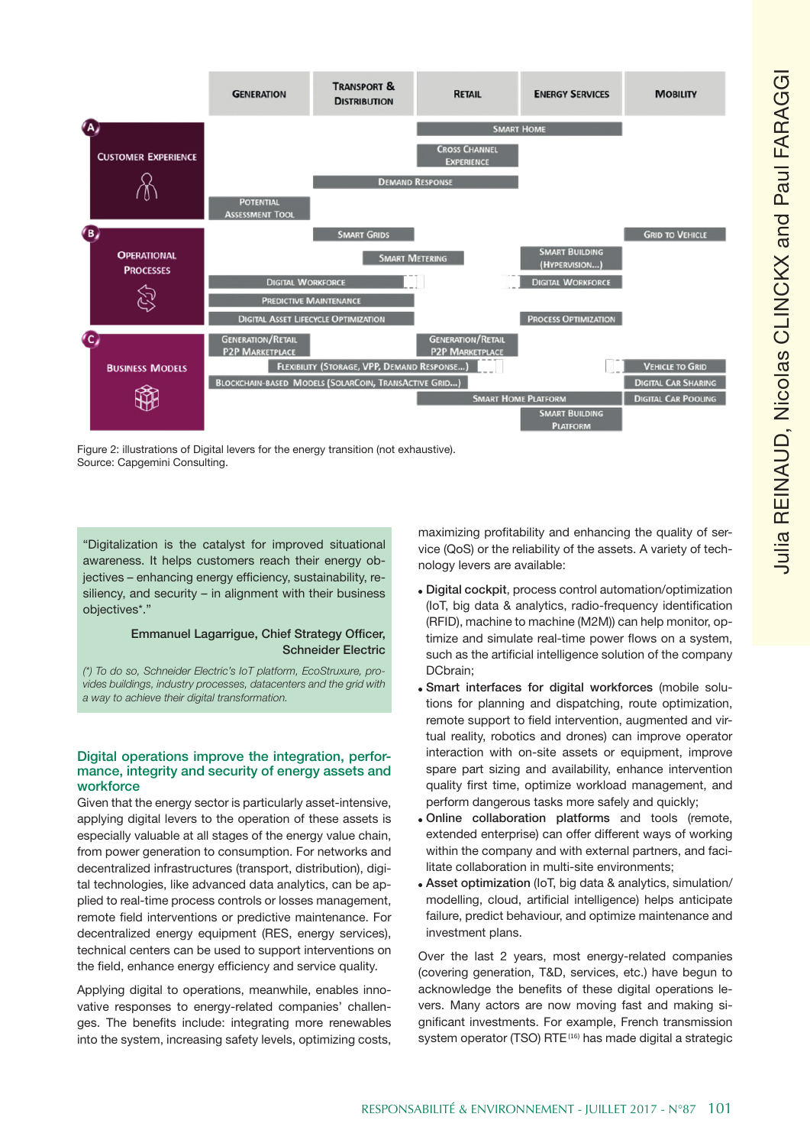

Figure 2: illustrations of Digital levers for the energy transition (not exhaustive). Source: Capgemini Consulting.

"Digitalization is the catalyst for improved situational awareness. It helps customers reach their energy objectives – enhancing energy efficiency, sustainability, resiliency, and security – in alignment with their business objectives\*."

# Emmanuel Lagarrigue, Chief Strategy Officer, Schneider Electric

*(\*) To do so, Schneider Electric's IoT platform, EcoStruxure, provides buildings, industry processes, datacenters and the grid with a way to achieve their digital transformation.*

## Digital operations improve the integration, performance, integrity and security of energy assets and workforce

Given that the energy sector is particularly asset-intensive, applying digital levers to the operation of these assets is especially valuable at all stages of the energy value chain, from power generation to consumption. For networks and decentralized infrastructures (transport, distribution), digital technologies, like advanced data analytics, can be applied to real-time process controls or losses management, remote field interventions or predictive maintenance. For decentralized energy equipment (RES, energy services), technical centers can be used to support interventions on the field, enhance energy efficiency and service quality.

Applying digital to operations, meanwhile, enables innovative responses to energy-related companies' challenges. The benefits include: integrating more renewables into the system, increasing safety levels, optimizing costs, maximizing profitability and enhancing the quality of service (QoS) or the reliability of the assets. A variety of technology levers are available:

- Digital cockpit, process control automation/optimization (IoT, big data & analytics, radio-frequency identification (RFID), machine to machine (M2M)) can help monitor, optimize and simulate real-time power flows on a system, such as the artificial intelligence solution of the company DCbrain;
- . Smart interfaces for digital workforces (mobile solutions for planning and dispatching, route optimization, remote support to field intervention, augmented and virtual reality, robotics and drones) can improve operator interaction with on-site assets or equipment, improve spare part sizing and availability, enhance intervention quality first time, optimize workload management, and perform dangerous tasks more safely and quickly;
- . Online collaboration platforms and tools (remote, extended enterprise) can offer different ways of working within the company and with external partners, and facilitate collaboration in multi-site environments;
- Asset optimization (IoT, big data & analytics, simulation/ modelling, cloud, artificial intelligence) helps anticipate failure, predict behaviour, and optimize maintenance and investment plans.

Over the last 2 years, most energy-related companies (covering generation, T&D, services, etc.) have begun to acknowledge the benefits of these digital operations levers. Many actors are now moving fast and making significant investments. For example, French transmission system operator (TSO) RTE<sup>(16)</sup> has made digital a strategic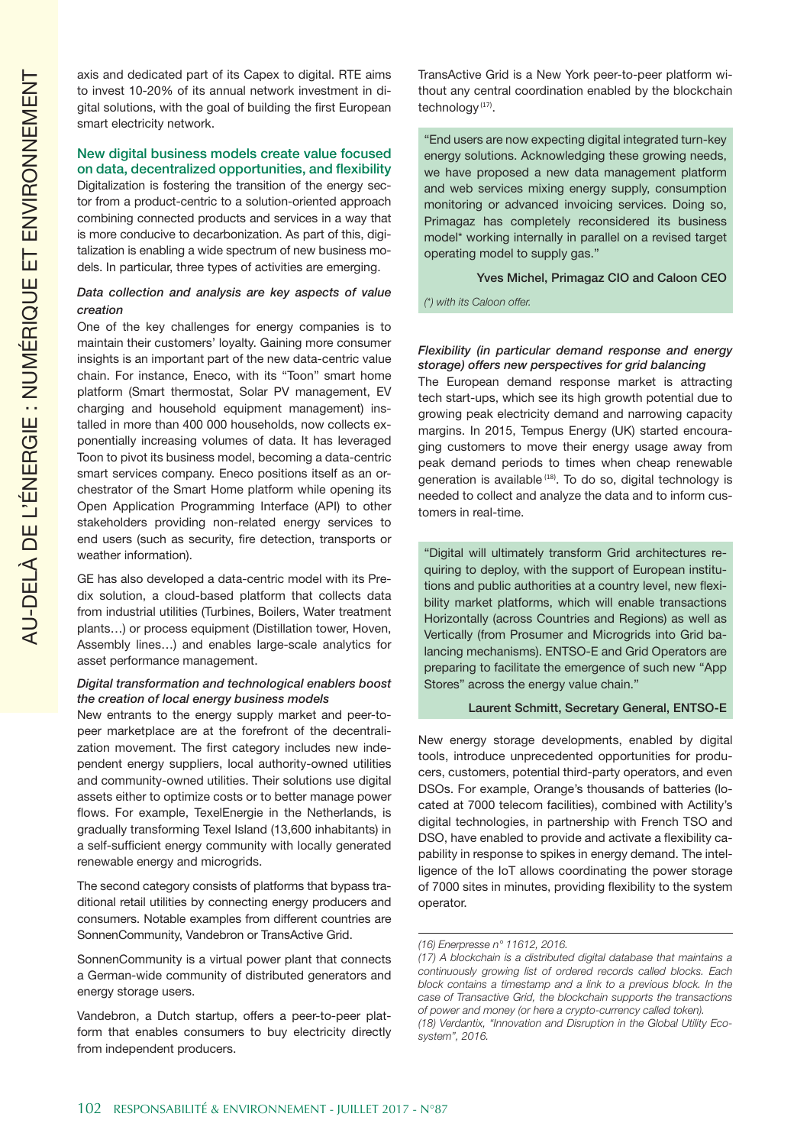axis and dedicated part of its Capex to digital. RTE aims to invest 10-20% of its annual network investment in digital solutions, with the goal of building the first European smart electricity network.

### New digital business models create value focused on data, decentralized opportunities, and flexibility

Digitalization is fostering the transition of the energy sector from a product-centric to a solution-oriented approach combining connected products and services in a way that is more conducive to decarbonization. As part of this, digitalization is enabling a wide spectrum of new business models. In particular, three types of activities are emerging.

## *Data collection and analysis are key aspects of value creation*

One of the key challenges for energy companies is to maintain their customers' loyalty. Gaining more consumer insights is an important part of the new data-centric value chain. For instance, Eneco, with its "Toon" smart home platform (Smart thermostat, Solar PV management, EV charging and household equipment management) installed in more than 400 000 households, now collects exponentially increasing volumes of data. It has leveraged Toon to pivot its business model, becoming a data-centric smart services company. Eneco positions itself as an orchestrator of the Smart Home platform while opening its Open Application Programming Interface (API) to other stakeholders providing non-related energy services to end users (such as security, fire detection, transports or weather information).

GE has also developed a data-centric model with its Predix solution, a cloud-based platform that collects data from industrial utilities (Turbines, Boilers, Water treatment plants…) or process equipment (Distillation tower, Hoven, Assembly lines…) and enables large-scale analytics for asset performance management.

## *Digital transformation and technological enablers boost the creation of local energy business models*

New entrants to the energy supply market and peer-topeer marketplace are at the forefront of the decentralization movement. The first category includes new independent energy suppliers, local authority-owned utilities and community-owned utilities. Their solutions use digital assets either to optimize costs or to better manage power flows. For example, TexelEnergie in the Netherlands, is gradually transforming Texel Island (13,600 inhabitants) in a self-sufficient energy community with locally generated renewable energy and microgrids.

The second category consists of platforms that bypass traditional retail utilities by connecting energy producers and consumers. Notable examples from different countries are SonnenCommunity, Vandebron or TransActive Grid.

SonnenCommunity is a virtual power plant that connects a German-wide community of distributed generators and energy storage users.

Vandebron, a Dutch startup, offers a peer-to-peer platform that enables consumers to buy electricity directly from independent producers.

TransActive Grid is a New York peer-to-peer platform without any central coordination enabled by the blockchain technology<sup>(17)</sup>.

"End users are now expecting digital integrated turn-key energy solutions. Acknowledging these growing needs, we have proposed a new data management platform and web services mixing energy supply, consumption monitoring or advanced invoicing services. Doing so, Primagaz has completely reconsidered its business model\* working internally in parallel on a revised target operating model to supply gas."

#### Yves Michel, Primagaz CIO and Caloon CEO

*(\*) with its Caloon offer.*

#### *Flexibility (in particular demand response and energy storage) offers new perspectives for grid balancing*

The European demand response market is attracting tech start-ups, which see its high growth potential due to growing peak electricity demand and narrowing capacity margins. In 2015, Tempus Energy (UK) started encouraging customers to move their energy usage away from peak demand periods to times when cheap renewable generation is available <sup>(18)</sup>. To do so, digital technology is needed to collect and analyze the data and to inform customers in real-time.

"Digital will ultimately transform Grid architectures requiring to deploy, with the support of European institutions and public authorities at a country level, new flexibility market platforms, which will enable transactions Horizontally (across Countries and Regions) as well as Vertically (from Prosumer and Microgrids into Grid balancing mechanisms). ENTSO-E and Grid Operators are preparing to facilitate the emergence of such new "App Stores" across the energy value chain."

#### Laurent Schmitt, Secretary General, ENTSO-E

New energy storage developments, enabled by digital tools, introduce unprecedented opportunities for producers, customers, potential third-party operators, and even DSOs. For example, Orange's thousands of batteries (located at 7000 telecom facilities), combined with Actility's digital technologies, in partnership with French TSO and DSO, have enabled to provide and activate a flexibility capability in response to spikes in energy demand. The intelligence of the IoT allows coordinating the power storage of 7000 sites in minutes, providing flexibility to the system operator.

#### *(16) Enerpresse n° 11612, 2016.*

*<sup>(17)</sup> A blockchain is a distributed digital database that maintains a continuously growing list of ordered records called blocks. Each block contains a timestamp and a link to a previous block. In the case of Transactive Grid, the blockchain supports the transactions of power and money (or here a crypto-currency called token). (18) Verdantix, "Innovation and Disruption in the Global Utility Ecosystem", 2016.*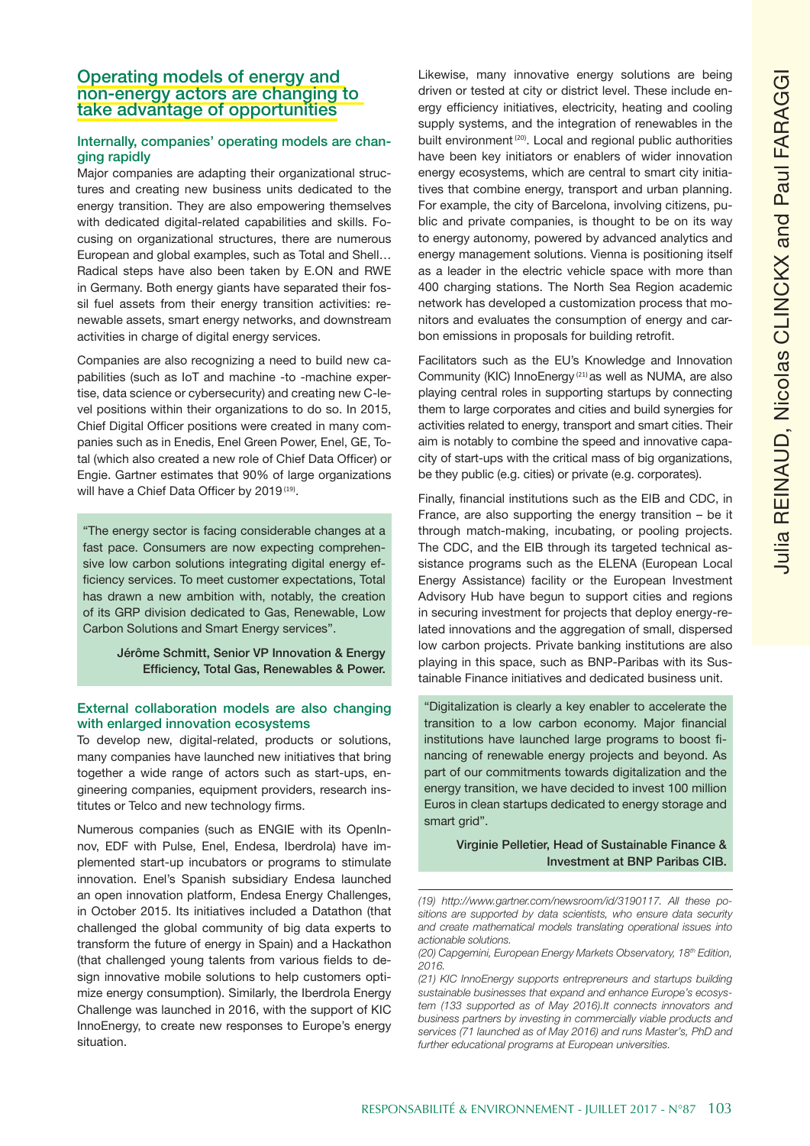# Operating models of energy and non-energy actors are changing to take advantage of opportunities

# Internally, companies' operating models are changing rapidly

Major companies are adapting their organizational structures and creating new business units dedicated to the energy transition. They are also empowering themselves with dedicated digital-related capabilities and skills. Focusing on organizational structures, there are numerous European and global examples, such as Total and Shell… Radical steps have also been taken by E.ON and RWE in Germany. Both energy giants have separated their fossil fuel assets from their energy transition activities: renewable assets, smart energy networks, and downstream activities in charge of digital energy services.

Companies are also recognizing a need to build new capabilities (such as IoT and machine -to -machine expertise, data science or cybersecurity) and creating new C-level positions within their organizations to do so. In 2015, Chief Digital Officer positions were created in many companies such as in Enedis, Enel Green Power, Enel, GE, Total (which also created a new role of Chief Data Officer) or Engie. Gartner estimates that 90% of large organizations will have a Chief Data Officer by 2019<sup>(19)</sup>.

"The energy sector is facing considerable changes at a fast pace. Consumers are now expecting comprehensive low carbon solutions integrating digital energy efficiency services. To meet customer expectations, Total has drawn a new ambition with, notably, the creation of its GRP division dedicated to Gas, Renewable, Low Carbon Solutions and Smart Energy services".

> Jérôme Schmitt, Senior VP Innovation & Energy Efficiency, Total Gas, Renewables & Power.

## External collaboration models are also changing with enlarged innovation ecosystems

To develop new, digital-related, products or solutions, many companies have launched new initiatives that bring together a wide range of actors such as start-ups, engineering companies, equipment providers, research institutes or Telco and new technology firms.

Numerous companies (such as ENGIE with its OpenInnov, EDF with Pulse, Enel, Endesa, Iberdrola) have implemented start-up incubators or programs to stimulate innovation. Enel's Spanish subsidiary Endesa launched an open innovation platform, Endesa Energy Challenges, in October 2015. Its initiatives included a Datathon (that challenged the global community of big data experts to transform the future of energy in Spain) and a Hackathon (that challenged young talents from various fields to design innovative mobile solutions to help customers optimize energy consumption). Similarly, the Iberdrola Energy Challenge was launched in 2016, with the support of KIC InnoEnergy, to create new responses to Europe's energy situation.

Likewise, many innovative energy solutions are being driven or tested at city or district level. These include energy efficiency initiatives, electricity, heating and cooling supply systems, and the integration of renewables in the built environment<sup>(20)</sup>. Local and regional public authorities have been key initiators or enablers of wider innovation energy ecosystems, which are central to smart city initiatives that combine energy, transport and urban planning. For example, the city of Barcelona, involving citizens, public and private companies, is thought to be on its way to energy autonomy, powered by advanced analytics and energy management solutions. Vienna is positioning itself as a leader in the electric vehicle space with more than 400 charging stations. The North Sea Region academic network has developed a customization process that monitors and evaluates the consumption of energy and carbon emissions in proposals for building retrofit.

Facilitators such as the EU's Knowledge and Innovation Community (KIC) InnoEnergy (21) as well as NUMA, are also playing central roles in supporting startups by connecting them to large corporates and cities and build synergies for activities related to energy, transport and smart cities. Their aim is notably to combine the speed and innovative capacity of start-ups with the critical mass of big organizations, be they public (e.g. cities) or private (e.g. corporates).

Finally, financial institutions such as the EIB and CDC, in France, are also supporting the energy transition – be it through match-making, incubating, or pooling projects. The CDC, and the EIB through its targeted technical assistance programs such as the ELENA (European Local Energy Assistance) facility or the European Investment Advisory Hub have begun to support cities and regions in securing investment for projects that deploy energy-related innovations and the aggregation of small, dispersed low carbon projects. Private banking institutions are also playing in this space, such as BNP-Paribas with its Sustainable Finance initiatives and dedicated business unit.

"Digitalization is clearly a key enabler to accelerate the transition to a low carbon economy. Major financial institutions have launched large programs to boost financing of renewable energy projects and beyond. As part of our commitments towards digitalization and the energy transition, we have decided to invest 100 million Euros in clean startups dedicated to energy storage and smart grid".

# Virginie Pelletier, Head of Sustainable Finance & Investment at BNP Paribas CIB.

*<sup>(19)</sup> http://www.gartner.com/newsroom/id/3190117. All these positions are supported by data scientists, who ensure data security and create mathematical models translating operational issues into actionable solutions.*

*<sup>(20)</sup> Capgemini, European Energy Markets Observatory, 18th Edition, 2016.*

*<sup>(21)</sup> KIC InnoEnergy supports entrepreneurs and startups building sustainable businesses that expand and enhance Europe's ecosystem (133 supported as of May 2016).It connects innovators and business partners by investing in commercially viable products and services (71 launched as of May 2016) and runs Master's, PhD and further educational programs at European universities.*